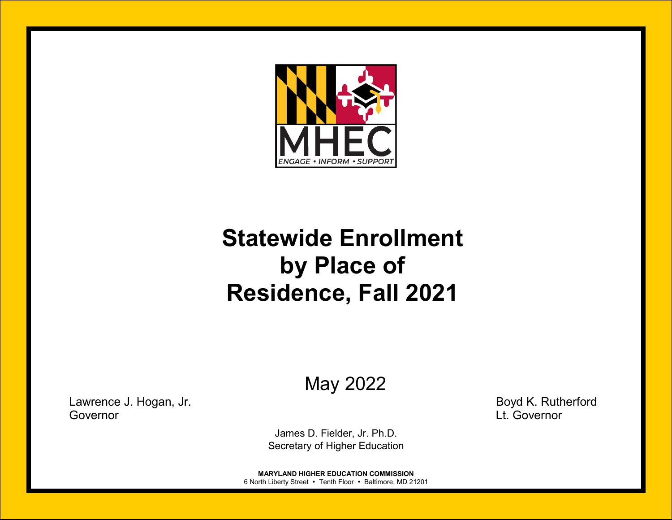

# **Statewide Enrollment by Place of Residence, Fall 2021**

May 2022

Lawrence J. Hogan, Jr. Boyd K. Rutherford Governor Lt. Governor

James D. Fielder, Jr. Ph.D. Secretary of Higher Education

**MARYLAND HIGHER EDUCATION COMMISSION** 6 North Liberty Street • Tenth Floor • Baltimore, MD 21201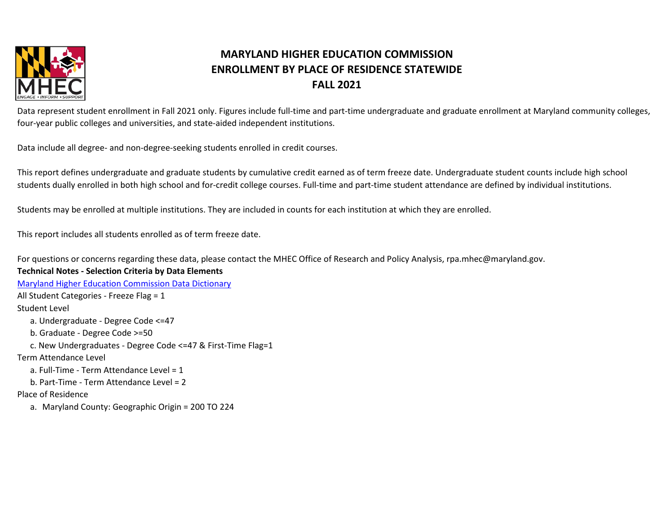

Data represent student enrollment in Fall 2021 only. Figures include full-time and part-time undergraduate and graduate enrollment at Maryland community colleges, four-year public colleges and universities, and state-aided independent institutions.

Data include all degree- and non-degree-seeking students enrolled in credit courses.

This report defines undergraduate and graduate students by cumulative credit earned as of term freeze date. Undergraduate student counts include high school students dually enrolled in both high school and for-credit college courses. Full-time and part-time student attendance are defined by individual institutions.

Students may be enrolled at multiple institutions. They are included in counts for each institution at which they are enrolled.

This report includes all students enrolled as of term freeze date.

For questions or concerns regarding these data, please contact the MHEC Office of Research and Policy Analysis, rpa.mhec@maryland.gov.

#### **Technical Notes - Selection Criteria by Data Elements**

[Maryland Higher Education Commission Data Dictionary](https://community.datacookbook.com/institutions/mhec) All Student Categories - Freeze Flag = 1 Student Level a. Undergraduate - Degree Code <=47 b. Graduate - Degree Code >=50 c. New Undergraduates - Degree Code <=47 & First-Time Flag=1 Term Attendance Level a. Full-Time - Term Attendance Level = 1 b. Part-Time - Term Attendance Level = 2 Place of Residence a. Maryland County: Geographic Origin = 200 TO 224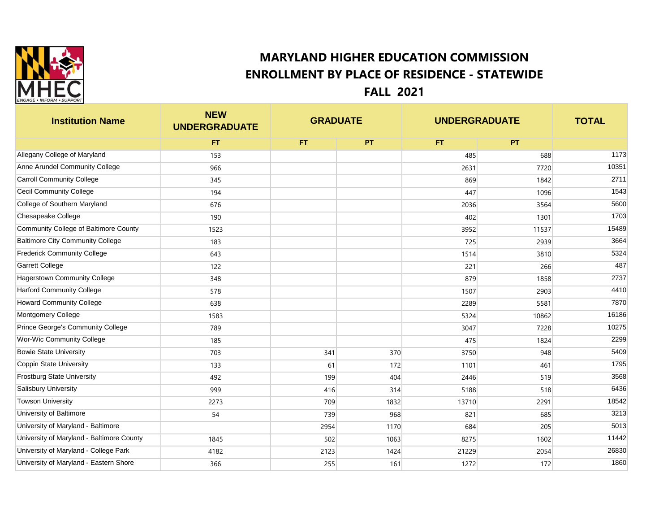

**Institution Name NEW UNDERGRADUATE TOTAL FT FT PT FT PT** Allegany College of Maryland 173 1173 153 1173 1688 1173 Anne Arundel Community College 2003 10351 10351 10351 2631 2631 2631 2720 2631 27720 2631 2720 2631 2720 2631 2720 2631 2720 2631 2720 2631 2720 2631 2720 2631 2720 2631 2720 2631 2720 2631 2720 2631 2720 2631 2720 2720 27 Carroll Community College 345 869 1842 2711 Cecil Community College 194 1543 College of Southern Maryland 676 676 6600 6676 2036 2036 2036 3564 5600 Chesapeake College 190 402 1301 1703 Community College of Baltimore County 1523 15489 15489 15489 15489 15489 Baltimore City Community College 1983 183 183 183 183 184 183 1864 Frederick Community College 1982 15324 1522 15324 15324 15324 15324 15324 15324 15324 Garrett College  $\begin{array}{|c|c|c|c|c|c|}\hline \text{Garrett College} & \text{A87}\ \hline \end{array}$ Hagerstown Community College 2737 and 348 348 348 348 379 379 379 375 375 377 377 378 379 3858 379 3737 Harford Community College 2903 578 578 578 1507 5903 4410 Howard Community College and the community College and the community College 5581 2289 5581 7870 Montgomery College 1583 5324 10862 16186 Prince George's Community College 789 789 789 3047 3047 3047 7228 7228 7228 7228 10275 Wor-Wic Community College 2299 185 1824 2299 Bowie State University 703 341 370 3750 948 5409 Coppin State University 133 61 172 1101 461 1795 Frostburg State University  $492$  492  $409$   $404$   $404$   $446$   $446$   $446$   $446$   $456$ Salisbury University 999 416 314 5188 518 6436 Towson University 2273 709 1832 13710 2291 18542 University of Baltimore 54 739 968 821 685 3213 University of Maryland - Baltimore 2954 205 205 205 205 206 207 2084 206 206 207 208 205 205 205 205 205 205 20 University of Maryland - Baltimore County 1845 1845 502 502 1063 8275 8275 1602 11442 University of Maryland - College Park 4182 4182 2123 2123 2124 21229 21229 2054 26830 University of Maryland - Eastern Shore  $\vert$  366  $\vert$  255 161 161 1272 172 172 172 1860 **GRADUATE UNDERGRADUATE**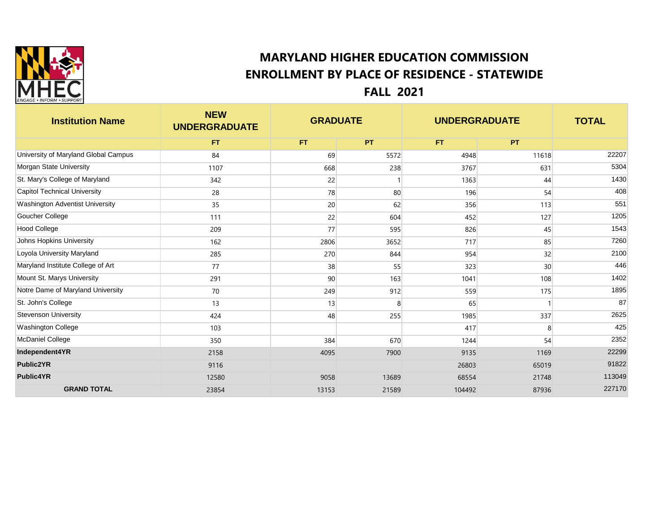

| <b>Institution Name</b>              | <b>NEW</b><br><b>UNDERGRADUATE</b> | <b>GRADUATE</b> |       | <b>UNDERGRADUATE</b> |       | <b>TOTAL</b> |
|--------------------------------------|------------------------------------|-----------------|-------|----------------------|-------|--------------|
|                                      | FT.                                | FT.             | PT.   | FT.                  | PT.   |              |
| University of Maryland Global Campus | 84                                 | 69              | 5572  | 4948                 | 11618 | 22207        |
| Morgan State University              | 1107                               | 668             | 238   | 3767                 | 631   | 5304         |
| St. Mary's College of Maryland       | 342                                | 22              |       | 1363                 | 44    | 1430         |
| <b>Capitol Technical University</b>  | 28                                 | 78              | 80    | 196                  | 54    | 408          |
| Washington Adventist University      | 35                                 | 20              | 62    | 356                  | 113   | 551          |
| Goucher College                      | 111                                | 22              | 604   | 452                  | 127   | 1205         |
| <b>Hood College</b>                  | 209                                | 77              | 595   | 826                  | 45    | 1543         |
| Johns Hopkins University             | 162                                | 2806            | 3652  | 717                  | 85    | 7260         |
| Loyola University Maryland           | 285                                | 270             | 844   | 954                  | 32    | 2100         |
| Maryland Institute College of Art    | 77                                 | 38              | 55    | 323                  | 30    | 446          |
| Mount St. Marys University           | 291                                | 90              | 163   | 1041                 | 108   | 1402         |
| Notre Dame of Maryland University    | 70                                 | 249             | 912   | 559                  | 175   | 1895         |
| St. John's College                   | 13                                 | 13              | 8     | 65                   |       | 87           |
| <b>Stevenson University</b>          | 424                                | 48              | 255   | 1985                 | 337   | 2625         |
| Washington College                   | 103                                |                 |       | 417                  | 8     | 425          |
| McDaniel College                     | 350                                | 384             | 670   | 1244                 | 54    | 2352         |
| Independent4YR                       | 2158                               | 4095            | 7900  | 9135                 | 1169  | 22299        |
| <b>Public2YR</b>                     | 9116                               |                 |       | 26803                | 65019 | 91822        |
| <b>Public4YR</b>                     | 12580                              | 9058            | 13689 | 68554                | 21748 | 113049       |
| <b>GRAND TOTAL</b>                   | 23854                              | 13153           | 21589 | 104492               | 87936 | 227170       |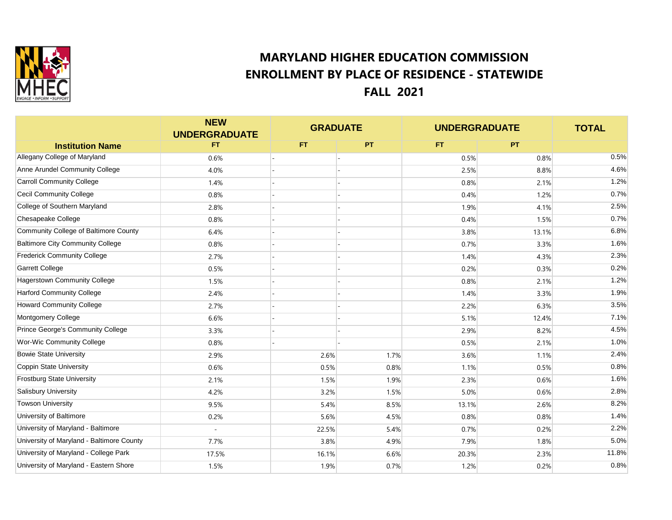

|                                           | <b>NEW</b><br><b>UNDERGRADUATE</b> | <b>GRADUATE</b> |           | <b>UNDERGRADUATE</b> |           | <b>TOTAL</b> |
|-------------------------------------------|------------------------------------|-----------------|-----------|----------------------|-----------|--------------|
| <b>Institution Name</b>                   | FT                                 | FT.             | <b>PT</b> | FT.                  | <b>PT</b> |              |
| Allegany College of Maryland              | 0.6%                               |                 |           | 0.5%                 | 0.8%      | 0.5%         |
| Anne Arundel Community College            | 4.0%                               |                 |           | 2.5%                 | 8.8%      | 4.6%         |
| <b>Carroll Community College</b>          | 1.4%                               |                 |           | 0.8%                 | 2.1%      | 1.2%         |
| <b>Cecil Community College</b>            | 0.8%                               |                 |           | 0.4%                 | 1.2%      | 0.7%         |
| College of Southern Maryland              | 2.8%                               |                 |           | 1.9%                 | 4.1%      | 2.5%         |
| Chesapeake College                        | 0.8%                               |                 |           | 0.4%                 | 1.5%      | 0.7%         |
| Community College of Baltimore County     | 6.4%                               |                 |           | 3.8%                 | 13.1%     | 6.8%         |
| <b>Baltimore City Community College</b>   | 0.8%                               |                 |           | 0.7%                 | 3.3%      | 1.6%         |
| <b>Frederick Community College</b>        | 2.7%                               |                 |           | 1.4%                 | 4.3%      | 2.3%         |
| <b>Garrett College</b>                    | 0.5%                               |                 |           | 0.2%                 | 0.3%      | 0.2%         |
| Hagerstown Community College              | 1.5%                               |                 |           | 0.8%                 | 2.1%      | 1.2%         |
| <b>Harford Community College</b>          | 2.4%                               |                 |           | 1.4%                 | 3.3%      | 1.9%         |
| <b>Howard Community College</b>           | 2.7%                               |                 |           | 2.2%                 | 6.3%      | 3.5%         |
| Montgomery College                        | 6.6%                               |                 |           | 5.1%                 | 12.4%     | 7.1%         |
| Prince George's Community College         | 3.3%                               |                 |           | 2.9%                 | 8.2%      | 4.5%         |
| Wor-Wic Community College                 | 0.8%                               |                 |           | 0.5%                 | 2.1%      | 1.0%         |
| <b>Bowie State University</b>             | 2.9%                               | 2.6%            | 1.7%      | 3.6%                 | 1.1%      | 2.4%         |
| Coppin State University                   | 0.6%                               | 0.5%            | 0.8%      | 1.1%                 | 0.5%      | 0.8%         |
| <b>Frostburg State University</b>         | 2.1%                               | 1.5%            | 1.9%      | 2.3%                 | 0.6%      | 1.6%         |
| <b>Salisbury University</b>               | 4.2%                               | 3.2%            | 1.5%      | 5.0%                 | 0.6%      | 2.8%         |
| <b>Towson University</b>                  | 9.5%                               | 5.4%            | 8.5%      | 13.1%                | 2.6%      | 8.2%         |
| University of Baltimore                   | 0.2%                               | 5.6%            | 4.5%      | 0.8%                 | 0.8%      | 1.4%         |
| University of Maryland - Baltimore        | ÷,                                 | 22.5%           | 5.4%      | 0.7%                 | 0.2%      | 2.2%         |
| University of Maryland - Baltimore County | 7.7%                               | 3.8%            | 4.9%      | 7.9%                 | 1.8%      | 5.0%         |
| University of Maryland - College Park     | 17.5%                              | 16.1%           | 6.6%      | 20.3%                | 2.3%      | 11.8%        |
| University of Maryland - Eastern Shore    | 1.5%                               | 1.9%            | 0.7%      | 1.2%                 | 0.2%      | 0.8%         |